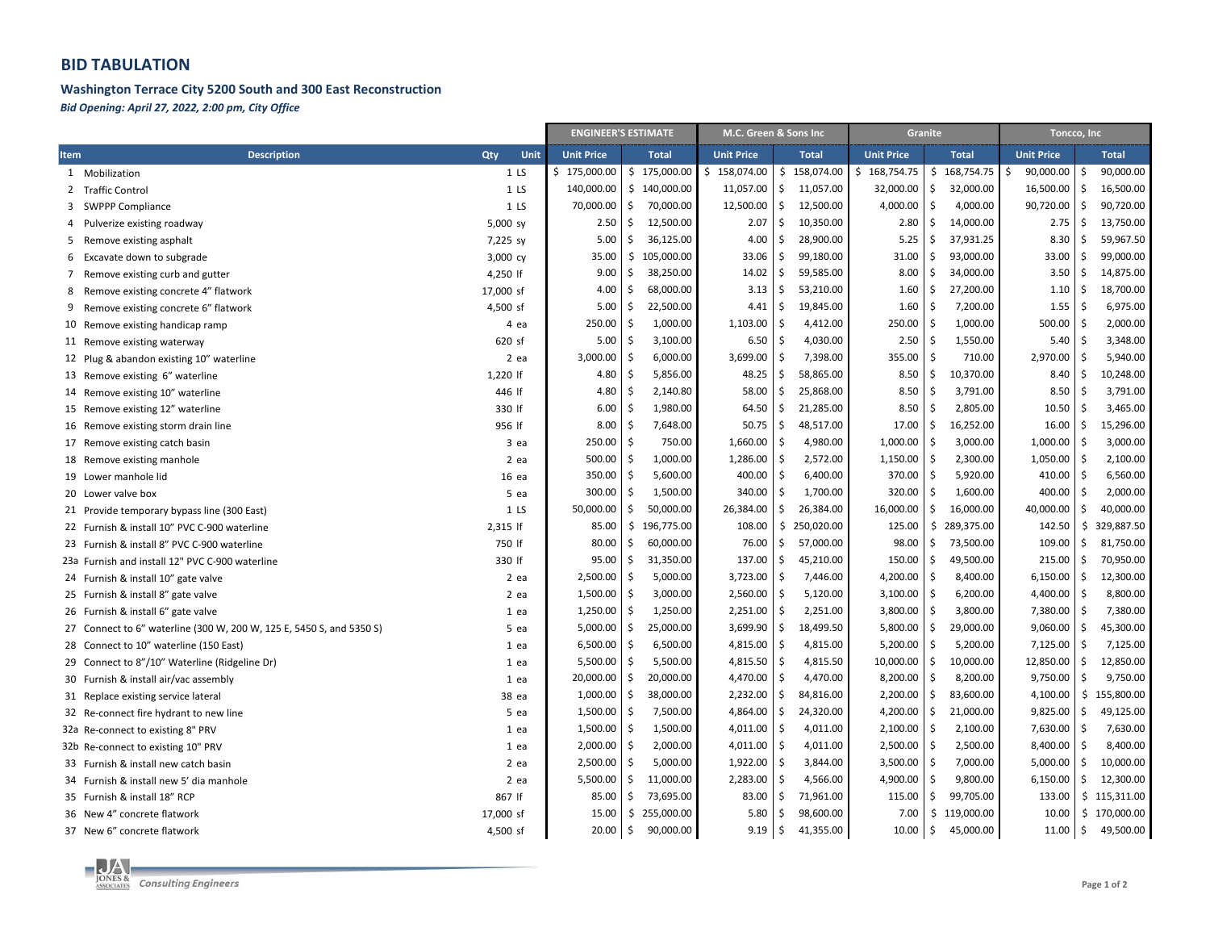## **BID TABULATION**

## Washington Terrace City 5200 South and 300 East Reconstruction

Bid Opening: April 27, 2022, 2:00 pm, City Office

|                                                                      |                 |                   | <b>ENGINEER'S ESTIMATE</b> |                   | M.C. Green & Sons Inc            |                   | Granite          | Toncco, Inc       |                            |  |  |
|----------------------------------------------------------------------|-----------------|-------------------|----------------------------|-------------------|----------------------------------|-------------------|------------------|-------------------|----------------------------|--|--|
| <b>Description</b><br>Item                                           | Qty<br>Unit     | <b>Unit Price</b> | <b>Total</b>               | <b>Unit Price</b> | <b>Total</b>                     | <b>Unit Price</b> | <b>Total</b>     | <b>Unit Price</b> | <b>Total</b>               |  |  |
| 1 Mobilization                                                       | 1 <sub>LS</sub> | \$175,000.00      | \$175,000.00               | \$158,074.00      | \$158,074.00                     | \$<br>168,754.75  | \$<br>168,754.75 | 90,000.00<br>S    | 90,000.00<br>Ŝ             |  |  |
| 2 Traffic Control                                                    | 1 <sub>LS</sub> | 140,000.00        | \$140,000.00               | 11,057.00         | \$<br>11,057.00                  | 32,000.00         | Ś<br>32,000.00   | 16,500.00         | 16,500.00<br>Ś.            |  |  |
| 3 SWPPP Compliance                                                   | 1 <sub>LS</sub> | 70,000.00         | 70,000.00<br>\$            | 12,500.00         | \$<br>12,500.00                  | 4,000.00          | Ś<br>4,000.00    | 90,720.00         | \$<br>90,720.00            |  |  |
| Pulverize existing roadway<br>4                                      | 5,000 sy        | 2.50              | \$<br>12,500.00            | 2.07              | $\ddot{\mathsf{S}}$<br>10,350.00 | 2.80              | \$<br>14,000.00  | 2.75              | \$<br>13,750.00            |  |  |
| Remove existing asphalt<br>5                                         | 7,225 sy        | 5.00              | \$<br>36,125.00            | 4.00              | $\ddot{\mathsf{s}}$<br>28,900.00 | 5.25              | \$<br>37,931.25  | 8.30              | \$<br>59,967.50            |  |  |
| Excavate down to subgrade<br>6                                       | 3,000 cy        | 35.00             | \$105,000.00               | 33.06             | -\$<br>99,180.00                 | 31.00             | 93,000.00<br>Ś   | 33.00             | \$<br>99,000.00            |  |  |
| Remove existing curb and gutter<br>7                                 | 4,250 lf        | 9.00              | \$<br>38,250.00            | 14.02             | $\ddot{\varsigma}$<br>59,585.00  | 8.00              | 34,000.00<br>\$  | 3.50              | \$<br>14,875.00            |  |  |
| 8<br>Remove existing concrete 4" flatwork                            | 17,000 sf       | 4.00              | \$<br>68,000.00            | 3.13              | \$<br>53,210.00                  | 1.60              | \$<br>27,200.00  | 1.10              | \$<br>18,700.00            |  |  |
| 9<br>Remove existing concrete 6" flatwork                            | 4,500 sf        | 5.00              | \$<br>22,500.00            | 4.41              | $\ddot{\varsigma}$<br>19,845.00  | 1.60              | 7,200.00<br>\$   | 1.55              | \$<br>6,975.00             |  |  |
| 10 Remove existing handicap ramp                                     | 4 ea            | 250.00            | \$<br>1,000.00             | 1,103.00          | -\$<br>4,412.00                  | 250.00            | S.<br>1,000.00   | 500.00            | \$<br>2,000.00             |  |  |
| 11 Remove existing waterway                                          | 620 sf          | 5.00              | \$<br>3,100.00             | 6.50              | -\$<br>4,030.00                  | 2.50              | Ś<br>1,550.00    | 5.40              | Ś.<br>3,348.00             |  |  |
| 12 Plug & abandon existing 10" waterline                             | $2$ ea          | 3,000.00          | \$<br>6,000.00             | 3,699.00          | \$<br>7,398.00                   | 355.00            | Ŝ<br>710.00      | 2,970.00          | \$<br>5,940.00             |  |  |
| 13 Remove existing 6" waterline                                      | 1,220 lf        | 4.80              | \$<br>5,856.00             | 48.25             | \$<br>58,865.00                  | 8.50              | \$<br>10,370.00  | 8.40              | \$<br>10,248.00            |  |  |
| 14 Remove existing 10" waterline                                     | 446 If          | 4.80              | \$.<br>2,140.80            | 58.00             | \$<br>25,868.00                  | 8.50              | Ś<br>3,791.00    | 8.50              | \$<br>3,791.00             |  |  |
| 15 Remove existing 12" waterline                                     | 330 If          | 6.00              | \$<br>1,980.00             | 64.50             | \$<br>21,285.00                  | 8.50              | Ś<br>2,805.00    | 10.50             | Ś.<br>3,465.00             |  |  |
| 16 Remove existing storm drain line                                  | 956 If          | 8.00              | \$<br>7,648.00             | 50.75             | \$<br>48,517.00                  | 17.00             | \$<br>16,252.00  | 16.00             | \$<br>15,296.00            |  |  |
| 17 Remove existing catch basin                                       | 3 ea            | 250.00            | \$<br>750.00               | 1,660.00          | \$<br>4,980.00                   | 1,000.00          | 3,000.00<br>\$   | 1,000.00          | \$<br>3,000.00             |  |  |
| 18 Remove existing manhole                                           | $2$ ea          | 500.00            | 1,000.00<br>\$             | 1,286.00          | $\ddot{\varsigma}$<br>2,572.00   | 1,150.00          | \$<br>2,300.00   | 1,050.00          | \$<br>2,100.00             |  |  |
| 19 Lower manhole lid                                                 | 16 ea           | 350.00            | Ŝ.<br>5,600.00             | 400.00            | \$<br>6,400.00                   | 370.00            | Ś<br>5,920.00    | 410.00            | Ś.<br>6,560.00             |  |  |
| 20 Lower valve box                                                   | 5 ea            | 300.00            | 1,500.00<br>Ŝ.             | 340.00            | \$<br>1,700.00                   | 320.00            | Ś<br>1,600.00    | 400.00            | Ś<br>2,000.00              |  |  |
| 21 Provide temporary bypass line (300 East)                          | 1 <sub>LS</sub> | 50,000.00         | \$<br>50,000.00            | 26,384.00         | $\ddot{\mathsf{S}}$<br>26,384.00 | 16,000.00         | Ś<br>16,000.00   | 40,000.00         | \$<br>40,000.00            |  |  |
| 22 Furnish & install 10" PVC C-900 waterline                         | 2,315 If        | 85.00             | \$196,775.00               | 108.00            | \$<br>250,020.00                 | 125.00            | \$<br>289,375.00 | 142.50            | \$<br>329,887.50           |  |  |
| 23 Furnish & install 8" PVC C-900 waterline                          | 750 If          | 80.00             | \$<br>60,000.00            | 76.00             | $\mathsf{S}$<br>57,000.00        | 98.00             | \$<br>73,500.00  | 109.00            | \$<br>81,750.00            |  |  |
| 23a Furnish and install 12" PVC C-900 waterline                      | 330 If          | 95.00             | \$<br>31,350.00            | 137.00            | $\ddot{\varsigma}$<br>45,210.00  | 150.00            | \$<br>49,500.00  | 215.00            | \$<br>70,950.00            |  |  |
| 24 Furnish & install 10" gate valve                                  | 2 ea            | 2,500.00          | \$<br>5,000.00             | 3,723.00          | $\ddot{\varsigma}$<br>7,446.00   | 4,200.00          | \$<br>8,400.00   | 6,150.00          | \$<br>12,300.00            |  |  |
| 25 Furnish & install 8" gate valve                                   | $2$ ea          | 1,500.00          | \$<br>3,000.00             | 2,560.00          | -\$<br>5,120.00                  | 3,100.00          | \$<br>6,200.00   | 4,400.00          | \$<br>8,800.00             |  |  |
| 26 Furnish & install 6" gate valve                                   | 1 ea            | 1,250.00          | \$<br>1,250.00             | 2,251.00          | $\ddot{\varsigma}$<br>2,251.00   | 3,800.00          | 3,800.00<br>S.   | 7,380.00          | \$<br>7,380.00             |  |  |
| 27 Connect to 6" waterline (300 W, 200 W, 125 E, 5450 S, and 5350 S) | 5 ea            | 5,000.00          | 25,000.00<br>\$.           | 3,699.90          | $\ddot{\varsigma}$<br>18,499.50  | 5,800.00          | \$<br>29,000.00  | 9,060.00          | \$<br>45,300.00            |  |  |
| 28 Connect to 10" waterline (150 East)                               | 1 ea            | 6,500.00          | 6,500.00<br>\$             | 4,815.00          | $\ddot{\varsigma}$<br>4,815.00   | 5,200.00          | Ś<br>5,200.00    | 7,125.00          | Ś<br>7,125.00              |  |  |
| 29 Connect to 8"/10" Waterline (Ridgeline Dr)                        | 1 ea            | 5,500.00          | \$<br>5,500.00             | 4,815.50          | -\$<br>4,815.50                  | 10,000.00         | \$<br>10,000.00  | 12,850.00         | \$<br>12,850.00            |  |  |
| 30 Furnish & install air/vac assembly                                | 1 ea            | 20,000.00         | 20,000.00<br>\$            | 4,470.00          | \$<br>4,470.00                   | 8,200.00          | Ś<br>8,200.00    | 9,750.00          | \$<br>9,750.00             |  |  |
| 31 Replace existing service lateral                                  | 38 ea           | 1,000.00          | \$<br>38,000.00            | 2,232.00          | $\ddot{\mathsf{S}}$<br>84,816.00 | 2,200.00          | Ś<br>83,600.00   | 4,100.00          | \$155,800.00               |  |  |
| 32 Re-connect fire hydrant to new line                               | 5 ea            | 1,500.00          | \$<br>7,500.00             | 4,864.00          | -\$<br>24,320.00                 | 4,200.00          | \$<br>21,000.00  | 9,825.00          | Ś<br>49,125.00             |  |  |
| 32a Re-connect to existing 8" PRV                                    | 1 ea            | 1,500.00          | \$<br>1,500.00             | 4,011.00          | \$<br>4,011.00                   | 2,100.00          | \$<br>2,100.00   | 7,630.00          | \$<br>7,630.00             |  |  |
| 32b Re-connect to existing 10" PRV                                   | 1 ea            | 2,000.00          | \$<br>2,000.00             | 4,011.00          | $\ddot{\varsigma}$<br>4,011.00   | 2,500.00          | \$<br>2,500.00   | 8,400.00          | \$<br>8,400.00             |  |  |
| 33 Furnish & install new catch basin                                 | 2 ea            | 2,500.00          | 5,000.00<br>\$             | 1,922.00          | \$<br>3,844.00                   | 3,500.00          | \$<br>7,000.00   | 5,000.00          | \$<br>10,000.00            |  |  |
| 34 Furnish & install new 5' dia manhole                              | 2 ea            | 5,500.00          | \$<br>11,000.00            | 2,283.00          | \$<br>4,566.00                   | 4,900.00          | Ś<br>9,800.00    | 6,150.00          | \$<br>12,300.00            |  |  |
| 35 Furnish & install 18" RCP                                         | 867 If          | 85.00             | \$<br>73,695.00            | 83.00             | \$<br>71,961.00                  | 115.00            | \$<br>99,705.00  | 133.00            | \$115,311.00               |  |  |
| 36 New 4" concrete flatwork                                          | 17,000 sf       | 15.00             | 255,000.00<br>\$           | 5.80              | 98,600.00<br>\$                  | 7.00              | \$<br>119,000.00 | 10.00             | \$170,000.00               |  |  |
| 37 New 6" concrete flatwork                                          | 4,500 sf        | 20.00             | \$<br>90,000.00            | 9.19              | $\ddot{\mathsf{S}}$<br>41,355.00 | 10.00             | \$<br>45,000.00  | 11.00             | $\frac{1}{2}$<br>49,500.00 |  |  |